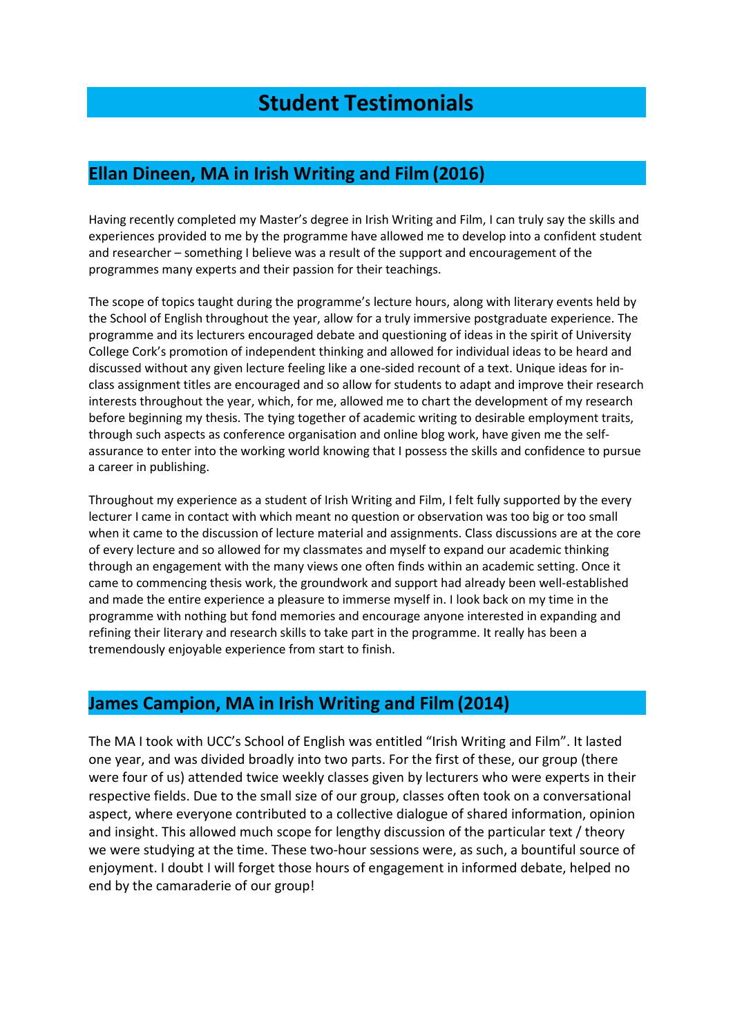# **Student Testimonials**

#### **Ellan Dineen, MA in Irish Writing and Film (2016)**

Having recently completed my Master's degree in Irish Writing and Film, I can truly say the skills and experiences provided to me by the programme have allowed me to develop into a confident student and researcher – something I believe was a result of the support and encouragement of the programmes many experts and their passion for their teachings.

The scope of topics taught during the programme's lecture hours, along with literary events held by the School of English throughout the year, allow for a truly immersive postgraduate experience. The programme and its lecturers encouraged debate and questioning of ideas in the spirit of University College Cork's promotion of independent thinking and allowed for individual ideas to be heard and discussed without any given lecture feeling like a one-sided recount of a text. Unique ideas for inclass assignment titles are encouraged and so allow for students to adapt and improve their research interests throughout the year, which, for me, allowed me to chart the development of my research before beginning my thesis. The tying together of academic writing to desirable employment traits, through such aspects as conference organisation and online blog work, have given me the selfassurance to enter into the working world knowing that I possess the skills and confidence to pursue a career in publishing.

Throughout my experience as a student of Irish Writing and Film, I felt fully supported by the every lecturer I came in contact with which meant no question or observation was too big or too small when it came to the discussion of lecture material and assignments. Class discussions are at the core of every lecture and so allowed for my classmates and myself to expand our academic thinking through an engagement with the many views one often finds within an academic setting. Once it came to commencing thesis work, the groundwork and support had already been well-established and made the entire experience a pleasure to immerse myself in. I look back on my time in the programme with nothing but fond memories and encourage anyone interested in expanding and refining their literary and research skills to take part in the programme. It really has been a tremendously enjoyable experience from start to finish.

#### **James Campion, MA in Irish Writing and Film (2014)**

The MA I took with UCC's School of English was entitled "Irish Writing and Film". It lasted one year, and was divided broadly into two parts. For the first of these, our group (there were four of us) attended twice weekly classes given by lecturers who were experts in their respective fields. Due to the small size of our group, classes often took on a conversational aspect, where everyone contributed to a collective dialogue of shared information, opinion and insight. This allowed much scope for lengthy discussion of the particular text / theory we were studying at the time. These two-hour sessions were, as such, a bountiful source of enjoyment. I doubt I will forget those hours of engagement in informed debate, helped no end by the camaraderie of our group!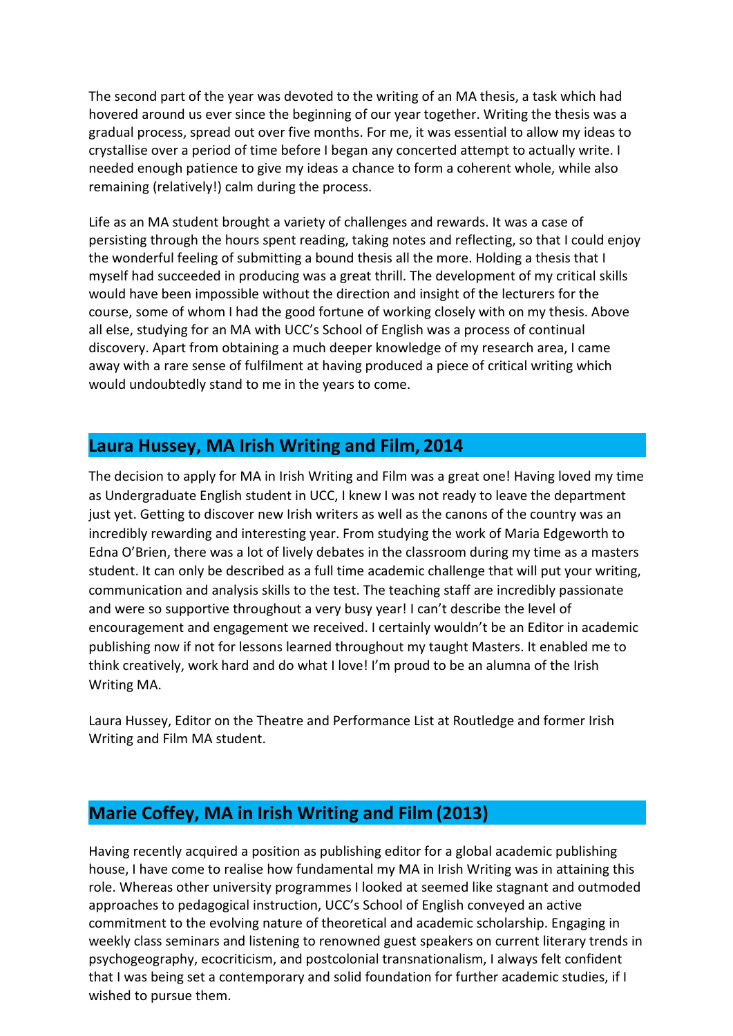The second part of the year was devoted to the writing of an MA thesis, a task which had hovered around us ever since the beginning of our year together. Writing the thesis was a gradual process, spread out over five months. For me, it was essential to allow my ideas to crystallise over a period of time before I began any concerted attempt to actually write. I needed enough patience to give my ideas a chance to form a coherent whole, while also remaining (relatively!) calm during the process.

Life as an MA student brought a variety of challenges and rewards. It was a case of persisting through the hours spent reading, taking notes and reflecting, so that I could enjoy the wonderful feeling of submitting a bound thesis all the more. Holding a thesis that I myself had succeeded in producing was a great thrill. The development of my critical skills would have been impossible without the direction and insight of the lecturers for the course, some of whom I had the good fortune of working closely with on my thesis. Above all else, studying for an MA with UCC's School of English was a process of continual discovery. Apart from obtaining a much deeper knowledge of my research area, I came away with a rare sense of fulfilment at having produced a piece of critical writing which would undoubtedly stand to me in the years to come.

#### **Laura Hussey, MA Irish Writing and Film, 2014**

The decision to apply for MA in Irish Writing and Film was a great one! Having loved my time as Undergraduate English student in UCC, I knew I was not ready to leave the department just yet. Getting to discover new Irish writers as well as the canons of the country was an incredibly rewarding and interesting year. From studying the work of Maria Edgeworth to Edna O'Brien, there was a lot of lively debates in the classroom during my time as a masters student. It can only be described as a full time academic challenge that will put your writing, communication and analysis skills to the test. The teaching staff are incredibly passionate and were so supportive throughout a very busy year! I can't describe the level of encouragement and engagement we received. I certainly wouldn't be an Editor in academic publishing now if not for lessons learned throughout my taught Masters. It enabled me to think creatively, work hard and do what I love! I'm proud to be an alumna of the Irish Writing MA.

Laura Hussey, Editor on the Theatre and Performance List at Routledge and former Irish Writing and Film MA student.

### **Marie Coffey, MA in Irish Writing and Film (2013)**

Having recently acquired a position as publishing editor for a global academic publishing house, I have come to realise how fundamental my MA in Irish Writing was in attaining this role. Whereas other university programmes I looked at seemed like stagnant and outmoded approaches to pedagogical instruction, UCC's School of English conveyed an active commitment to the evolving nature of theoretical and academic scholarship. Engaging in weekly class seminars and listening to renowned guest speakers on current literary trends in psychogeography, ecocriticism, and postcolonial transnationalism, I always felt confident that I was being set a contemporary and solid foundation for further academic studies, if I wished to pursue them.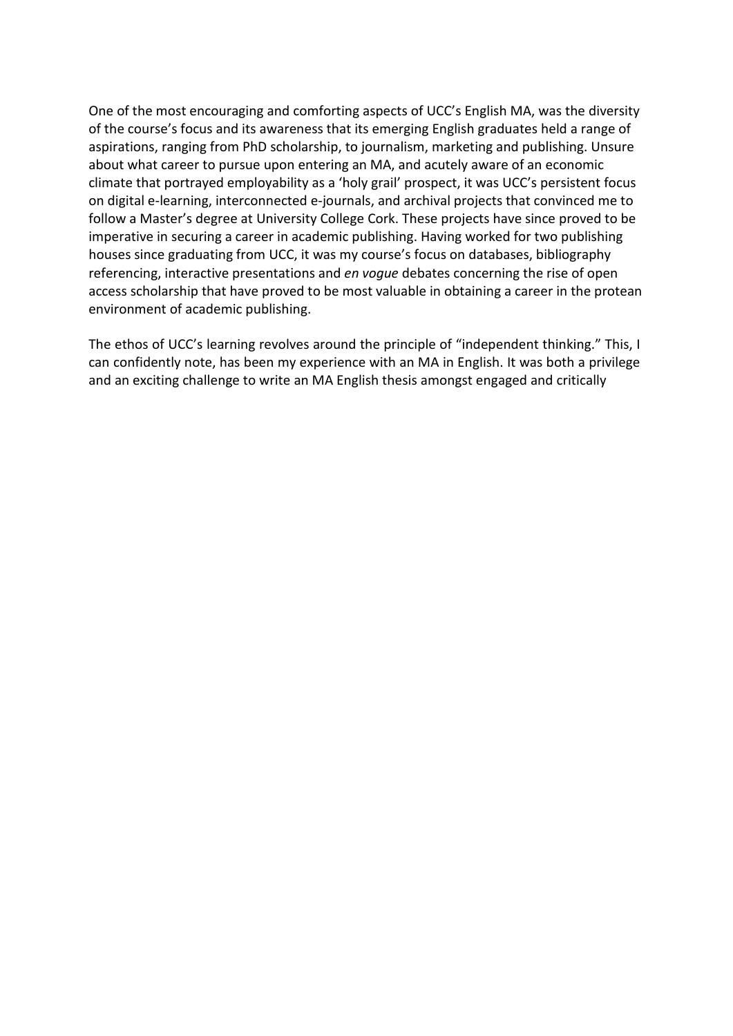One of the most encouraging and comforting aspects of UCC's English MA, was the diversity of the course's focus and its awareness that its emerging English graduates held a range of aspirations, ranging from PhD scholarship, to journalism, marketing and publishing. Unsure about what career to pursue upon entering an MA, and acutely aware of an economic climate that portrayed employability as a 'holy grail' prospect, it was UCC's persistent focus on digital e-learning, interconnected e-journals, and archival projects that convinced me to follow a Master's degree at University College Cork. These projects have since proved to be imperative in securing a career in academic publishing. Having worked for two publishing houses since graduating from UCC, it was my course's focus on databases, bibliography referencing, interactive presentations and *en vogue* debates concerning the rise of open access scholarship that have proved to be most valuable in obtaining a career in the protean environment of academic publishing.

The ethos of UCC's learning revolves around the principle of "independent thinking." This, I can confidently note, has been my experience with an MA in English. It was both a privilege and an exciting challenge to write an MA English thesis amongst engaged and critically